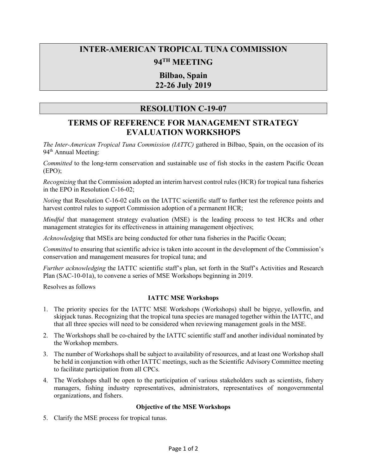# **INTER-AMERICAN TROPICAL TUNA COMMISSION 94TH MEETING**

# **Bilbao, Spain 22-26 July 2019**

## **RESOLUTION C-19-07**

# **TERMS OF REFERENCE FOR MANAGEMENT STRATEGY EVALUATION WORKSHOPS**

*The Inter-American Tropical Tuna Commission (IATTC)* gathered in Bilbao, Spain, on the occasion of its 94<sup>th</sup> Annual Meeting:

*Committed* to the long-term conservation and sustainable use of fish stocks in the eastern Pacific Ocean (EPO);

*Recognizing* that the Commission adopted an interim harvest control rules (HCR) for tropical tuna fisheries in the EPO in Resolution C-16-02;

*Noting* that Resolution C-16-02 calls on the IATTC scientific staff to further test the reference points and harvest control rules to support Commission adoption of a permanent HCR;

*Mindful* that management strategy evaluation (MSE) is the leading process to test HCRs and other management strategies for its effectiveness in attaining management objectives;

*Acknowledging* that MSEs are being conducted for other tuna fisheries in the Pacific Ocean;

*Committed* to ensuring that scientific advice is taken into account in the development of the Commission's conservation and management measures for tropical tuna; and

*Further acknowledging* the IATTC scientific staff's plan, set forth in the Staff's Activities and Research Plan (SAC-10-01a), to convene a series of MSE Workshops beginning in 2019.

Resolves as follows

### **IATTC MSE Workshops**

- 1. The priority species for the IATTC MSE Workshops (Workshops) shall be bigeye, yellowfin, and skipjack tunas. Recognizing that the tropical tuna species are managed together within the IATTC, and that all three species will need to be considered when reviewing management goals in the MSE.
- 2. The Workshops shall be co-chaired by the IATTC scientific staff and another individual nominated by the Workshop members.
- 3. The number of Workshops shall be subject to availability of resources, and at least one Workshop shall be held in conjunction with other IATTC meetings, such as the Scientific Advisory Committee meeting to facilitate participation from all CPCs.
- 4. The Workshops shall be open to the participation of various stakeholders such as scientists, fishery managers, fishing industry representatives, administrators, representatives of nongovernmental organizations, and fishers.

### **Objective of the MSE Workshops**

5. Clarify the MSE process for tropical tunas.